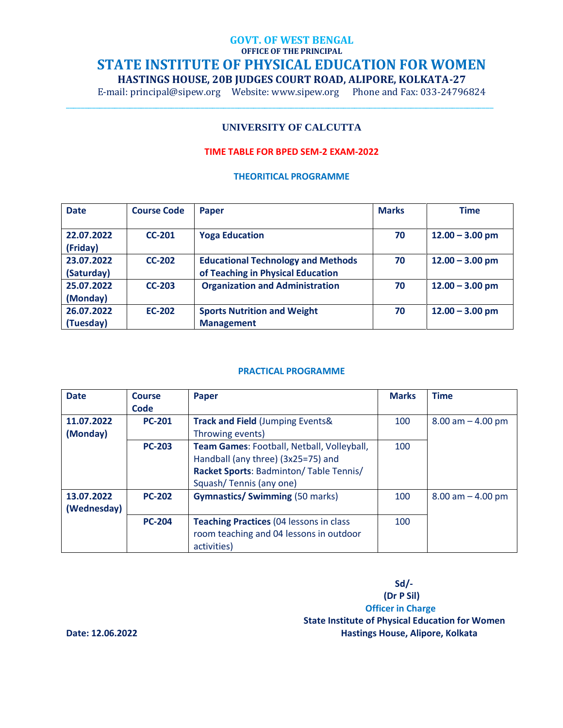# **GOVT. OF WEST BENGAL OFFICE OF THE PRINCIPAL STATE INSTITUTE OF PHYSICAL EDUCATION FOR WOMEN HASTINGS HOUSE, 20B JUDGES COURT ROAD, ALIPORE, KOLKATA-27**

E-mail: principal@sipew.org Website: www.sipew.org Phone and Fax: 033-24796824

\_\_\_\_\_\_\_\_\_\_\_\_\_\_\_\_\_\_\_\_\_\_\_\_\_\_\_\_\_\_\_\_\_\_\_\_\_\_\_\_\_\_\_\_\_\_\_\_\_\_\_\_\_\_\_\_\_\_\_\_\_\_\_\_\_\_\_\_\_\_\_\_\_\_\_\_\_\_\_\_\_\_\_\_\_\_\_\_\_\_\_\_\_\_\_\_\_\_\_\_\_\_\_\_\_\_\_\_\_\_\_\_\_\_

## **UNIVERSITY OF CALCUTTA**

## **TIME TABLE FOR BPED SEM-2 EXAM-2022**

#### **THEORITICAL PROGRAMME**

| <b>Date</b>              | <b>Course Code</b> | Paper                                                                          | <b>Marks</b> | <b>Time</b>       |
|--------------------------|--------------------|--------------------------------------------------------------------------------|--------------|-------------------|
| 22.07.2022<br>(Friday)   | $CC-201$           | <b>Yoga Education</b>                                                          | 70           | $12.00 - 3.00$ pm |
| 23.07.2022<br>(Saturday) | <b>CC-202</b>      | <b>Educational Technology and Methods</b><br>of Teaching in Physical Education | 70           | $12.00 - 3.00$ pm |
| 25.07.2022<br>(Monday)   | $CC-203$           | <b>Organization and Administration</b>                                         | 70           | $12.00 - 3.00$ pm |
| 26.07.2022<br>(Tuesday)  | <b>EC-202</b>      | <b>Sports Nutrition and Weight</b><br><b>Management</b>                        | 70           | $12.00 - 3.00$ pm |

### **PRACTICAL PROGRAMME**

| <b>Date</b> | <b>Course</b> | <b>Paper</b>                                    | <b>Marks</b> | <b>Time</b>           |
|-------------|---------------|-------------------------------------------------|--------------|-----------------------|
|             | Code          |                                                 |              |                       |
| 11.07.2022  | <b>PC-201</b> | Track and Field (Jumping Events&                | 100          | $8.00$ am $- 4.00$ pm |
| (Monday)    |               | Throwing events)                                |              |                       |
|             | <b>PC-203</b> | Team Games: Football, Netball, Volleyball,      | 100          |                       |
|             |               | Handball (any three) (3x25=75) and              |              |                       |
|             |               | Racket Sports: Badminton/Table Tennis/          |              |                       |
|             |               | Squash/Tennis (any one)                         |              |                       |
| 13.07.2022  | <b>PC-202</b> | <b>Gymnastics/ Swimming (50 marks)</b>          | 100          | $8.00$ am $- 4.00$ pm |
| (Wednesday) |               |                                                 |              |                       |
|             | <b>PC-204</b> | <b>Teaching Practices (04 lessons in class)</b> | 100          |                       |
|             |               | room teaching and 04 lessons in outdoor         |              |                       |
|             |               | activities)                                     |              |                       |

 **Sd/- (Dr P Sil) Officer in Charge State Institute of Physical Education for Women Date: 12.06.2022 Hastings House, Alipore, Kolkata**